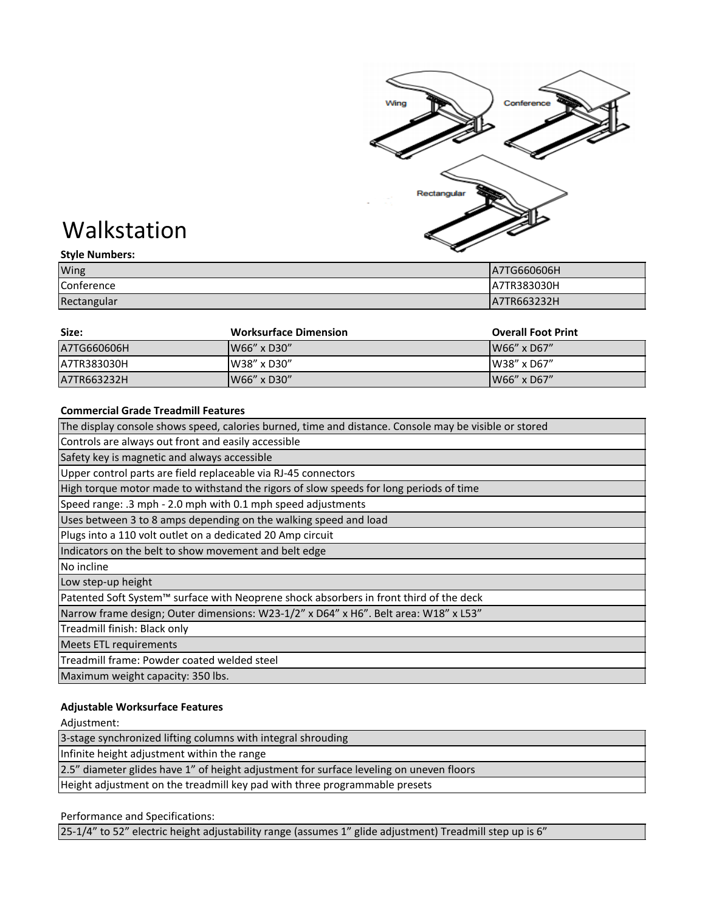

# Walkstation

| <b>Style Numbers:</b> | $\tilde{\phantom{a}}$ |
|-----------------------|-----------------------|
| Wing                  | A7TG660606H           |
| Conference            | LA7TR383030H          |
| Rectangular           | LA7TR663232H          |

| Size:       | <b>Worksurface Dimension</b> | <b>Overall Foot Print</b> |
|-------------|------------------------------|---------------------------|
| A7TG660606H | W66" x D30"                  | W66" x D67"               |
| A7TR383030H | W38" x D30"                  | W38" x D67"               |
| A7TR663232H | W66" x D30"                  | $W66''$ x D67"            |

## **Commercial Grade Treadmill Features**

| The display console shows speed, calories burned, time and distance. Console may be visible or stored |
|-------------------------------------------------------------------------------------------------------|
| Controls are always out front and easily accessible                                                   |
| Safety key is magnetic and always accessible                                                          |
| Upper control parts are field replaceable via RJ-45 connectors                                        |
| High torque motor made to withstand the rigors of slow speeds for long periods of time                |
| Speed range: .3 mph - 2.0 mph with 0.1 mph speed adjustments                                          |
| Uses between 3 to 8 amps depending on the walking speed and load                                      |
| Plugs into a 110 volt outlet on a dedicated 20 Amp circuit                                            |
| Indicators on the belt to show movement and belt edge                                                 |
| No incline                                                                                            |
| Low step-up height                                                                                    |
| Patented Soft System™ surface with Neoprene shock absorbers in front third of the deck                |
| Narrow frame design; Outer dimensions: W23-1/2" x D64" x H6". Belt area: W18" x L53"                  |
| Treadmill finish: Black only                                                                          |
| <b>Meets ETL requirements</b>                                                                         |
| Treadmill frame: Powder coated welded steel                                                           |
| Maximum weight capacity: 350 lbs.                                                                     |

## **Adjustable Worksurface Features**

Adjustment:

Height adjustment on the treadmill key pad with three programmable presets 3-stage synchronized lifting columns with integral shrouding Infinite height adjustment within the range 2.5" diameter glides have 1" of height adjustment for surface leveling on uneven floors

## Performance and Specifications:

25-1/4" to 52" electric height adjustability range (assumes 1" glide adjustment) Treadmill step up is 6"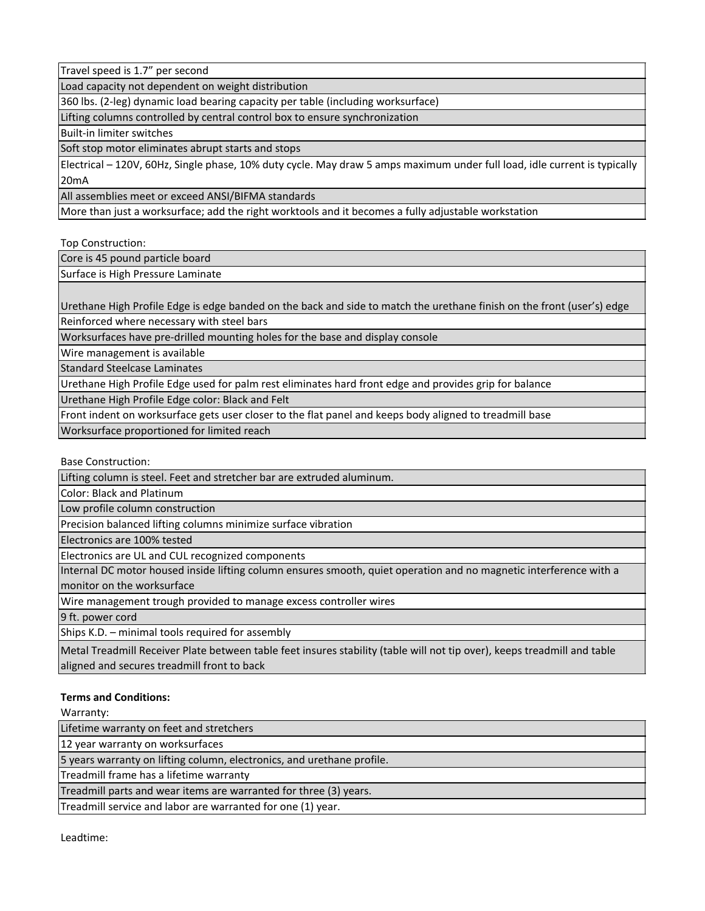Travel speed is 1.7" per second

Load capacity not dependent on weight distribution

360 lbs. (2-leg) dynamic load bearing capacity per table (including worksurface)

Lifting columns controlled by central control box to ensure synchronization

Built-in limiter switches

Soft stop motor eliminates abrupt starts and stops

Electrical – 120V, 60Hz, Single phase, 10% duty cycle. May draw 5 amps maximum under full load, idle current is typically 20mA

All assemblies meet or exceed ANSI/BIFMA standards

More than just a worksurface; add the right worktools and it becomes a fully adjustable workstation

Top Construction:

Core is 45 pound particle board

Surface is High Pressure Laminate

Urethane High Profile Edge is edge banded on the back and side to match the urethane finish on the front (user's) edge Reinforced where necessary with steel bars

Worksurfaces have pre-drilled mounting holes for the base and display console

Wire management is available

Standard Steelcase Laminates

Urethane High Profile Edge used for palm rest eliminates hard front edge and provides grip for balance

Urethane High Profile Edge color: Black and Felt

Front indent on worksurface gets user closer to the flat panel and keeps body aligned to treadmill base

Worksurface proportioned for limited reach

Base Construction:

Lifting column is steel. Feet and stretcher bar are extruded aluminum.

Color: Black and Platinum

Low profile column construction

Precision balanced lifting columns minimize surface vibration

Electronics are 100% tested

Electronics are UL and CUL recognized components

Internal DC motor housed inside lifting column ensures smooth, quiet operation and no magnetic interference with a monitor on the worksurface

Wire management trough provided to manage excess controller wires

9 ft. power cord

Ships K.D. – minimal tools required for assembly

Metal Treadmill Receiver Plate between table feet insures stability (table will not tip over), keeps treadmill and table aligned and secures treadmill front to back

## **Terms and Conditions:**

Warranty:

Lifetime warranty on feet and stretchers

12 year warranty on worksurfaces

5 years warranty on lifting column, electronics, and urethane profile.

Treadmill frame has a lifetime warranty

Treadmill parts and wear items are warranted for three (3) years.

Treadmill service and labor are warranted for one (1) year.

Leadtime: